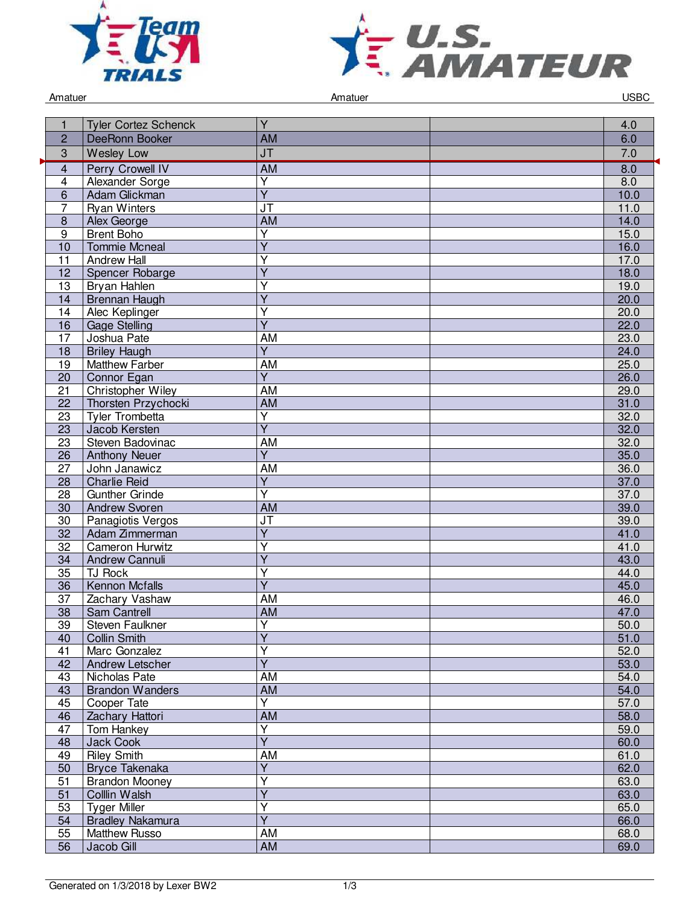



Amatuer USBC and the Contract of Amatuer Amatuer Amatuer Contract of the USBC and the USBC and the USBC and the USBC

|                         | <b>Tyler Cortez Schenck</b>                  | Ÿ                                    | 4.0          |
|-------------------------|----------------------------------------------|--------------------------------------|--------------|
| $\overline{2}$          | DeeRonn Booker                               | <b>AM</b>                            | 6.0          |
| 3                       | <b>Wesley Low</b>                            | <b>JT</b>                            | 7.0          |
| $\overline{\mathbf{4}}$ | <b>Perry Crowell IV</b>                      | <b>AM</b>                            | 8.0          |
| 4                       | Alexander Sorge                              | Y                                    | 8.0          |
| 6                       | Adam Glickman                                | $\overline{Y}$                       | 10.0         |
| 7                       | <b>Ryan Winters</b>                          | $\overline{\mathsf{J}\mathsf{T}}$    | 11.0         |
| 8                       | Alex George                                  | <b>AM</b>                            | 14.0         |
| 9                       | <b>Brent Boho</b>                            | $\overline{\mathsf{Y}}$              | 15.0         |
| 10                      | <b>Tommie Mcneal</b>                         | $\overline{\mathsf{Y}}$              | 16.0         |
| 11                      | <b>Andrew Hall</b>                           | Y                                    | 17.0         |
| 12                      | Spencer Robarge                              | Y                                    | 18.0         |
| 13                      | Bryan Hahlen                                 | Ÿ                                    | 19.0         |
| 14                      | <b>Brennan Haugh</b>                         | $\overline{Y}$                       | 20.0         |
| 14                      | Alec Keplinger                               | Y<br>$\overline{Y}$                  | 20.0         |
| 16                      | <b>Gage Stelling</b>                         |                                      | 22.0         |
| 17<br>$\overline{18}$   | Joshua Pate                                  | <b>AM</b><br>$\overline{\mathsf{Y}}$ | 23.0         |
| 19                      | <b>Briley Haugh</b><br><b>Matthew Farber</b> | <b>AM</b>                            | 24.0<br>25.0 |
| 20                      | Connor Egan                                  | $\overline{Y}$                       | 26.0         |
| 21                      | Christopher Wiley                            | AM                                   | 29.0         |
| $\overline{22}$         | Thorsten Przychocki                          | <b>AM</b>                            | 31.0         |
| 23                      | <b>Tyler Trombetta</b>                       | Υ                                    | 32.0         |
| 23                      | Jacob Kersten                                | $\overline{Y}$                       | 32.0         |
| 23                      | Steven Badovinac                             | AM                                   | 32.0         |
| 26                      | <b>Anthony Neuer</b>                         | $\overline{\mathsf{Y}}$              | 35.0         |
| 27                      | John Janawicz                                | <b>AM</b>                            | 36.0         |
| 28                      | <b>Charlie Reid</b>                          | $\overline{\mathsf{Y}}$              | 37.0         |
| 28                      | <b>Gunther Grinde</b>                        | Y                                    | 37.0         |
| 30                      | <b>Andrew Svoren</b>                         | <b>AM</b>                            | 39.0         |
| 30                      | Panagiotis Vergos                            | JT                                   | 39.0         |
| 32                      | Adam Zimmerman                               | Y                                    | 41.0         |
| 32                      | Cameron Hurwitz                              | $\overline{\mathsf{Y}}$              | 41.0         |
| 34                      | Andrew Cannuli                               | $\overline{Y}$                       | 43.0         |
| 35                      | <b>TJ Rock</b>                               | Ý                                    | 44.0         |
| 36                      | <b>Kennon Mcfalls</b>                        | $\overline{\mathsf{Y}}$              | 45.0         |
| 37                      | Zachary Vashaw                               | <b>AM</b>                            | 46.0         |
| $\overline{38}$         | Sam Cantrell                                 | <b>AM</b>                            | 47.0         |
| 39                      | Steven Faulkner                              | Y                                    | 50.0         |
| 40                      | <b>Collin Smith</b>                          | $\overline{Y}$                       | 51.0         |
| 41                      | Marc Gonzalez                                | Ý                                    | 52.0         |
| 42                      | <b>Andrew Letscher</b>                       | Ÿ                                    | 53.0         |
| 43                      | Nicholas Pate                                | <b>AM</b>                            | 54.0         |
| 43                      | <b>Brandon Wanders</b>                       | <b>AM</b>                            | 54.0         |
| 45                      | Cooper Tate                                  | Y                                    | 57.0         |
| 46                      | Zachary Hattori                              | AM                                   | 58.0         |
| 47                      | Tom Hankey                                   | Υ<br>$\overline{\mathsf{Y}}$         | 59.0         |
| 48                      | Jack Cook                                    |                                      | 60.0         |
| 49                      | <b>Riley Smith</b>                           | AM<br>Ÿ                              | 61.0         |
| 50<br>51                | Bryce Takenaka<br><b>Brandon Mooney</b>      | Ý                                    | 62.0         |
| 51                      | Colllin Walsh                                | Y                                    | 63.0<br>63.0 |
| 53                      | <b>Tyger Miller</b>                          | $\overline{\mathsf{Y}}$              | 65.0         |
| 54                      | <b>Bradley Nakamura</b>                      | $\overline{Y}$                       | 66.0         |
| 55                      | <b>Matthew Russo</b>                         | AM                                   | 68.0         |
| 56                      | Jacob Gill                                   | <b>AM</b>                            | 69.0         |
|                         |                                              |                                      |              |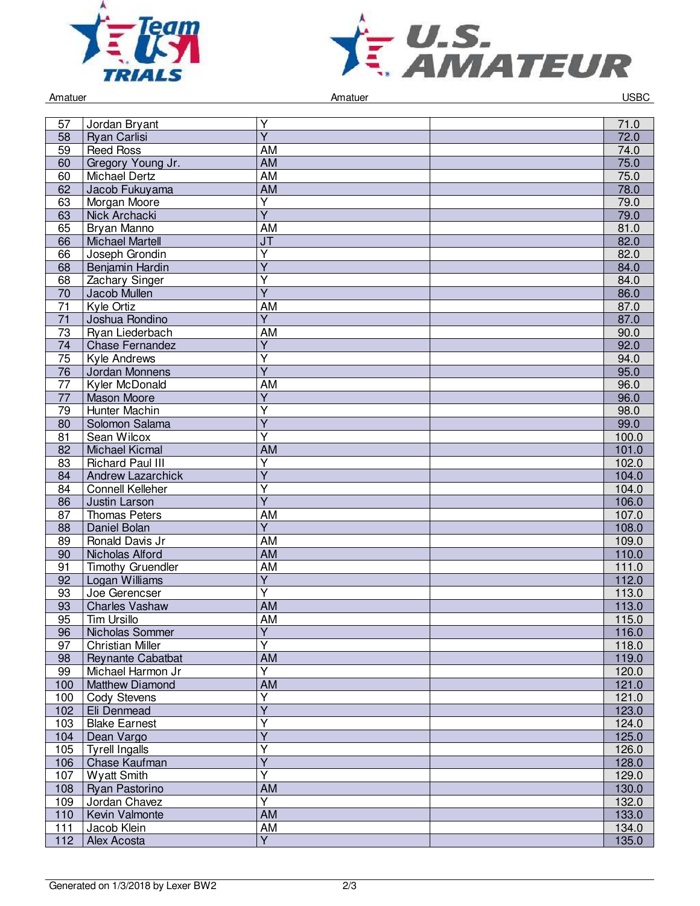



| Amatuer         |                          | Amatuer                 |  | <b>USBC</b> |
|-----------------|--------------------------|-------------------------|--|-------------|
|                 |                          |                         |  |             |
| 57              | Jordan Bryant            | Υ                       |  | 71.0        |
| 58              | <b>Ryan Carlisi</b>      | $\overline{Y}$          |  | 72.0        |
| $\overline{59}$ | <b>Reed Ross</b>         | AM                      |  | 74.0        |
| 60              | Gregory Young Jr.        | <b>AM</b>               |  | 75.0        |
| 60              | <b>Michael Dertz</b>     | <b>AM</b>               |  | 75.0        |
| 62              | Jacob Fukuyama           | <b>AM</b>               |  | 78.0        |
| 63              | Morgan Moore             | $\overline{\mathsf{Y}}$ |  | 79.0        |
| 63              | Nick Archacki            | $\overline{\mathsf{Y}}$ |  | 79.0        |
| 65              | Bryan Manno              | AM                      |  | 81.0        |
| 66              | <b>Michael Martell</b>   | JT                      |  | 82.0        |
| 66              | Joseph Grondin           | Y                       |  | 82.0        |
| 68              | Benjamin Hardin          | $\overline{Y}$          |  | 84.0        |
| 68              | Zachary Singer           | $\overline{\mathsf{Y}}$ |  | 84.0        |
| $\overline{70}$ | Jacob Mullen             | $\overline{\mathsf{Y}}$ |  | 86.0        |
| 71              | Kyle Ortiz               | <b>AM</b>               |  | 87.0        |
|                 |                          |                         |  |             |
| 71              | Joshua Rondino           | Y                       |  | 87.0        |
| 73              | Ryan Liederbach          | AM                      |  | 90.0        |
| 74              | <b>Chase Fernandez</b>   | $\overline{Y}$          |  | 92.0        |
| 75              | Kyle Andrews             | Ý                       |  | 94.0        |
| 76              | Jordan Monnens           | Ÿ                       |  | 95.0        |
| 77              | Kyler McDonald           | AM                      |  | 96.0        |
| 77              | <b>Mason Moore</b>       | Y                       |  | 96.0        |
| 79              | <b>Hunter Machin</b>     | $\overline{\mathsf{Y}}$ |  | 98.0        |
| 80              | Solomon Salama           | $\overline{\mathsf{Y}}$ |  | 99.0        |
| 81              | Sean Wilcox              | $\overline{\mathsf{Y}}$ |  | 100.0       |
| 82              | <b>Michael Kicmal</b>    | AM                      |  | 101.0       |
| 83              | <b>Richard Paul III</b>  | Υ                       |  | 102.0       |
| 84              | <b>Andrew Lazarchick</b> | $\overline{Y}$          |  | 104.0       |
| 84              | <b>Connell Kelleher</b>  | Υ                       |  | 104.0       |
| 86              | Justin Larson            | Ý                       |  | 106.0       |
| 87              | <b>Thomas Peters</b>     | AM                      |  | 107.0       |
| 88              | Daniel Bolan             | $\overline{Y}$          |  | 108.0       |
| 89              | Ronald Davis Jr          | AM                      |  | 109.0       |
| 90              | Nicholas Alford          | <b>AM</b>               |  | 110.0       |
| 91              | <b>Timothy Gruendler</b> | AM                      |  | 111.0       |
| 92              | Logan Williams           | $\overline{\mathsf{Y}}$ |  | 112.0       |
| 93              | Joe Gerencser            | Ÿ                       |  | 113.0       |
| 93              | <b>Charles Vashaw</b>    | <b>AM</b>               |  | 113.0       |
| 95              | Tim Ursillo              | AM                      |  | 115.0       |
| 96              | Nicholas Sommer          | Y                       |  | 116.0       |
| 97              | <b>Christian Miller</b>  | $\overline{\mathsf{Y}}$ |  | 118.0       |
| 98              | Reynante Cabatbat        | <b>AM</b>               |  | 119.0       |
| 99              | Michael Harmon Jr        | Ÿ                       |  | 120.0       |
| 100             | Matthew Diamond          | <b>AM</b>               |  | 121.0       |
| 100             | <b>Cody Stevens</b>      | Y                       |  | 121.0       |
| 102             | Eli Denmead              | $\overline{\mathsf{Y}}$ |  | 123.0       |
| 103             | <b>Blake Earnest</b>     | Ÿ                       |  | 124.0       |
| 104             | Dean Vargo               | $\overline{\mathsf{Y}}$ |  | 125.0       |
| 105             | Tyrell Ingalls           | Ÿ                       |  | 126.0       |
| 106             | Chase Kaufman            | $\overline{\mathsf{Y}}$ |  | 128.0       |
| 107             | <b>Wyatt Smith</b>       | Y                       |  | 129.0       |
| 108             | Ryan Pastorino           | <b>AM</b>               |  | 130.0       |
| 109             | Jordan Chavez            | Y                       |  | 132.0       |
| 110             | Kevin Valmonte           | <b>AM</b>               |  | 133.0       |
| 111             | Jacob Klein              | <b>AM</b>               |  | 134.0       |
| 112             | Alex Acosta              | $\overline{Y}$          |  | 135.0       |